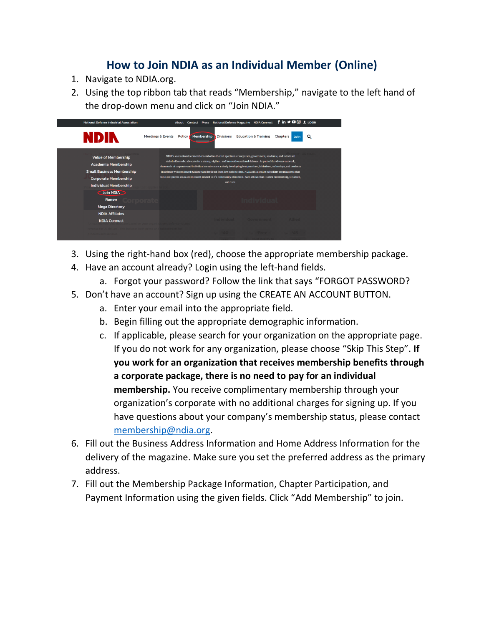## **How to Join NDIA as an Individual Member (Online)**

- 1. Navigate to NDIA.org.
- 2. Using the top ribbon tab that reads "Membership," navigate to the left hand of the drop-down menu and click on "Join NDIA."

| <b>National Defense Industrial Association</b>                                                                                                              | f in → □ 3 1 LOGIN<br><b>National Defense Magazine NDIA Connect</b><br><b>About</b><br>Contact<br><b>Press</b>                                                                                                                                                                                                                                                                                                                                                                                                                                                                                                                               |
|-------------------------------------------------------------------------------------------------------------------------------------------------------------|----------------------------------------------------------------------------------------------------------------------------------------------------------------------------------------------------------------------------------------------------------------------------------------------------------------------------------------------------------------------------------------------------------------------------------------------------------------------------------------------------------------------------------------------------------------------------------------------------------------------------------------------|
| NDIN<br><b>Meetings &amp; Events</b>                                                                                                                        | Membership<br><b>Education &amp; Training</b><br><b>Divisions</b><br>Policy A<br>Chapters<br>Q<br>Join                                                                                                                                                                                                                                                                                                                                                                                                                                                                                                                                       |
| <b>Value of Membership</b><br><b>Academia Membership</b><br><b>Small Business Membership</b><br><b>Corporate Membership</b><br><b>Individual Membership</b> | NDIA's vast network of members embodies the full spectrum of corporate, government, academic, and individual<br>stakeholders who advocate for a strong, vigilant, and innovative national defense. As part of this diverse network,<br>thousands of corporate and individual members are actively developing best practices, initiatives, technology, and products<br>in defense with continued guidance and feedback from key stakeholders. NDIA Affiliates are subsidiary organizations that<br>focus on specific areas and missions related to it's community of interest. Each affiliate has its own membership, structure,<br>and dues. |
| Join NDIA<br>Renew<br><b>Mega Directory</b>                                                                                                                 |                                                                                                                                                                                                                                                                                                                                                                                                                                                                                                                                                                                                                                              |
| <b>NDIA Affiliates</b><br><b>NDIA Connect</b>                                                                                                               | Government<br><b>TERVICIAL</b>                                                                                                                                                                                                                                                                                                                                                                                                                                                                                                                                                                                                               |

- 3. Using the right-hand box (red), choose the appropriate membership package.
- 4. Have an account already? Login using the left-hand fields.
	- a. Forgot your password? Follow the link that says "FORGOT PASSWORD?
- 5. Don't have an account? Sign up using the CREATE AN ACCOUNT BUTTON.
	- a. Enter your email into the appropriate field.
	- b. Begin filling out the appropriate demographic information.
	- c. If applicable, please search for your organization on the appropriate page. If you do not work for any organization, please choose "Skip This Step". **If you work for an organization that receives membership benefits through a corporate package, there is no need to pay for an individual membership.** You receive complimentary membership through your organization's corporate with no additional charges for signing up. If you have questions about your company's membership status, please contact [membership@ndia.org.](mailto:membership@ndia.org)
- 6. Fill out the Business Address Information and Home Address Information for the delivery of the magazine. Make sure you set the preferred address as the primary address.
- 7. Fill out the Membership Package Information, Chapter Participation, and Payment Information using the given fields. Click "Add Membership" to join.